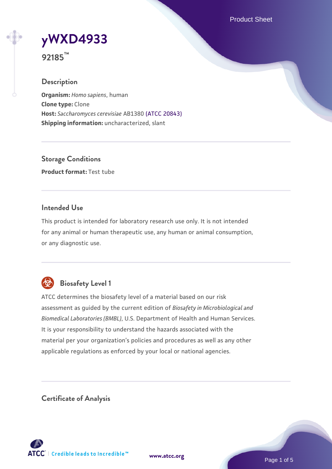Product Sheet

# **[yWXD4933](https://www.atcc.org/products/92185)**

**92185™**

## **Description**

**Organism:** *Homo sapiens*, human **Clone type:** Clone **Host:** *Saccharomyces cerevisiae* AB1380 [\(ATCC 20843\)](https://www.atcc.org/products/20843) **Shipping information:** uncharacterized, slant

**Storage Conditions Product format:** Test tube

## **Intended Use**

This product is intended for laboratory research use only. It is not intended for any animal or human therapeutic use, any human or animal consumption, or any diagnostic use.



# **Biosafety Level 1**

ATCC determines the biosafety level of a material based on our risk assessment as guided by the current edition of *Biosafety in Microbiological and Biomedical Laboratories (BMBL)*, U.S. Department of Health and Human Services. It is your responsibility to understand the hazards associated with the material per your organization's policies and procedures as well as any other applicable regulations as enforced by your local or national agencies.

**Certificate of Analysis**

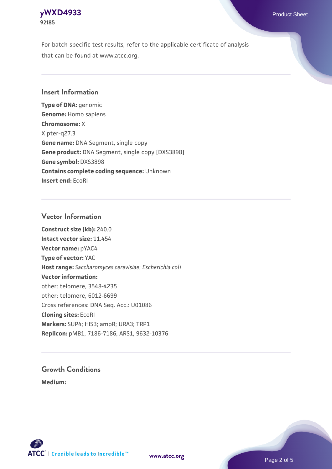## **[yWXD4933](https://www.atcc.org/products/92185)** Product Sheet **92185**

For batch-specific test results, refer to the applicable certificate of analysis that can be found at www.atcc.org.

## **Insert Information**

**Type of DNA:** genomic **Genome:** Homo sapiens **Chromosome:** X X pter-q27.3 **Gene name:** DNA Segment, single copy **Gene product:** DNA Segment, single copy [DXS3898] **Gene symbol:** DXS3898 **Contains complete coding sequence:** Unknown **Insert end:** EcoRI

## **Vector Information**

**Construct size (kb):** 240.0 **Intact vector size:** 11.454 **Vector name:** pYAC4 **Type of vector:** YAC **Host range:** *Saccharomyces cerevisiae*; *Escherichia coli* **Vector information:** other: telomere, 3548-4235 other: telomere, 6012-6699 Cross references: DNA Seq. Acc.: U01086 **Cloning sites:** EcoRI **Markers:** SUP4; HIS3; ampR; URA3; TRP1 **Replicon:** pMB1, 7186-7186; ARS1, 9632-10376

# **Growth Conditions**

**Medium:** 



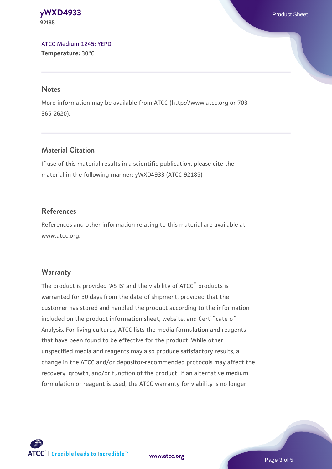#### **[yWXD4933](https://www.atcc.org/products/92185)** Product Sheet **92185**

[ATCC Medium 1245: YEPD](https://www.atcc.org/-/media/product-assets/documents/microbial-media-formulations/1/2/4/5/atcc-medium-1245.pdf?rev=705ca55d1b6f490a808a965d5c072196) **Temperature:** 30°C

#### **Notes**

More information may be available from ATCC (http://www.atcc.org or 703- 365-2620).

## **Material Citation**

If use of this material results in a scientific publication, please cite the material in the following manner: yWXD4933 (ATCC 92185)

## **References**

References and other information relating to this material are available at www.atcc.org.

## **Warranty**

The product is provided 'AS IS' and the viability of ATCC® products is warranted for 30 days from the date of shipment, provided that the customer has stored and handled the product according to the information included on the product information sheet, website, and Certificate of Analysis. For living cultures, ATCC lists the media formulation and reagents that have been found to be effective for the product. While other unspecified media and reagents may also produce satisfactory results, a change in the ATCC and/or depositor-recommended protocols may affect the recovery, growth, and/or function of the product. If an alternative medium formulation or reagent is used, the ATCC warranty for viability is no longer



**[www.atcc.org](http://www.atcc.org)**

Page 3 of 5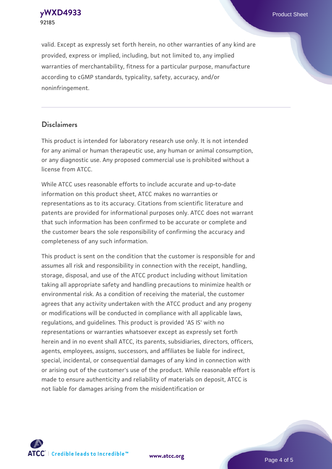**[yWXD4933](https://www.atcc.org/products/92185)** Product Sheet **92185**

valid. Except as expressly set forth herein, no other warranties of any kind are provided, express or implied, including, but not limited to, any implied warranties of merchantability, fitness for a particular purpose, manufacture according to cGMP standards, typicality, safety, accuracy, and/or noninfringement.

#### **Disclaimers**

This product is intended for laboratory research use only. It is not intended for any animal or human therapeutic use, any human or animal consumption, or any diagnostic use. Any proposed commercial use is prohibited without a license from ATCC.

While ATCC uses reasonable efforts to include accurate and up-to-date information on this product sheet, ATCC makes no warranties or representations as to its accuracy. Citations from scientific literature and patents are provided for informational purposes only. ATCC does not warrant that such information has been confirmed to be accurate or complete and the customer bears the sole responsibility of confirming the accuracy and completeness of any such information.

This product is sent on the condition that the customer is responsible for and assumes all risk and responsibility in connection with the receipt, handling, storage, disposal, and use of the ATCC product including without limitation taking all appropriate safety and handling precautions to minimize health or environmental risk. As a condition of receiving the material, the customer agrees that any activity undertaken with the ATCC product and any progeny or modifications will be conducted in compliance with all applicable laws, regulations, and guidelines. This product is provided 'AS IS' with no representations or warranties whatsoever except as expressly set forth herein and in no event shall ATCC, its parents, subsidiaries, directors, officers, agents, employees, assigns, successors, and affiliates be liable for indirect, special, incidental, or consequential damages of any kind in connection with or arising out of the customer's use of the product. While reasonable effort is made to ensure authenticity and reliability of materials on deposit, ATCC is not liable for damages arising from the misidentification or



**[www.atcc.org](http://www.atcc.org)**

Page 4 of 5